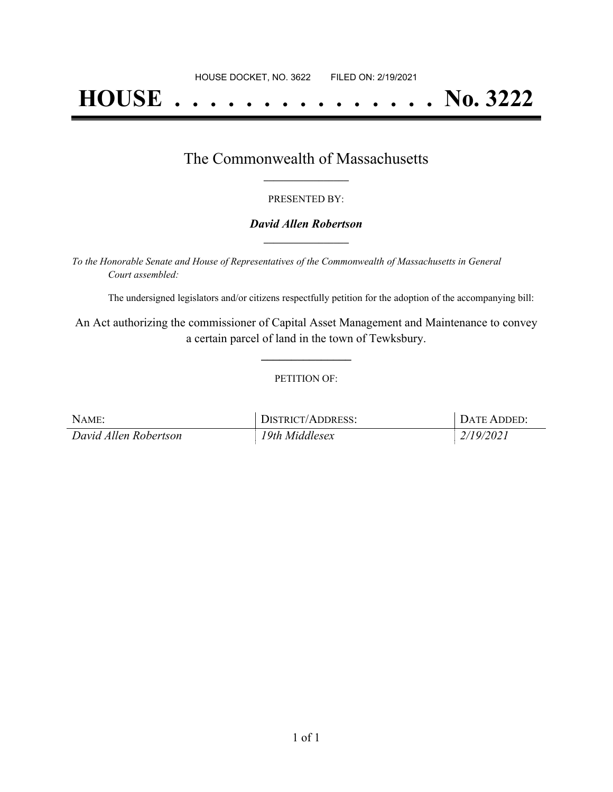# **HOUSE . . . . . . . . . . . . . . . No. 3222**

### The Commonwealth of Massachusetts **\_\_\_\_\_\_\_\_\_\_\_\_\_\_\_\_\_**

#### PRESENTED BY:

#### *David Allen Robertson* **\_\_\_\_\_\_\_\_\_\_\_\_\_\_\_\_\_**

*To the Honorable Senate and House of Representatives of the Commonwealth of Massachusetts in General Court assembled:*

The undersigned legislators and/or citizens respectfully petition for the adoption of the accompanying bill:

An Act authorizing the commissioner of Capital Asset Management and Maintenance to convey a certain parcel of land in the town of Tewksbury.

**\_\_\_\_\_\_\_\_\_\_\_\_\_\_\_**

#### PETITION OF:

| NAME:                 | DISTRICT/ADDRESS: | DATE ADDED: |
|-----------------------|-------------------|-------------|
| David Allen Robertson | 19th Middlesex    | 2/19/2021   |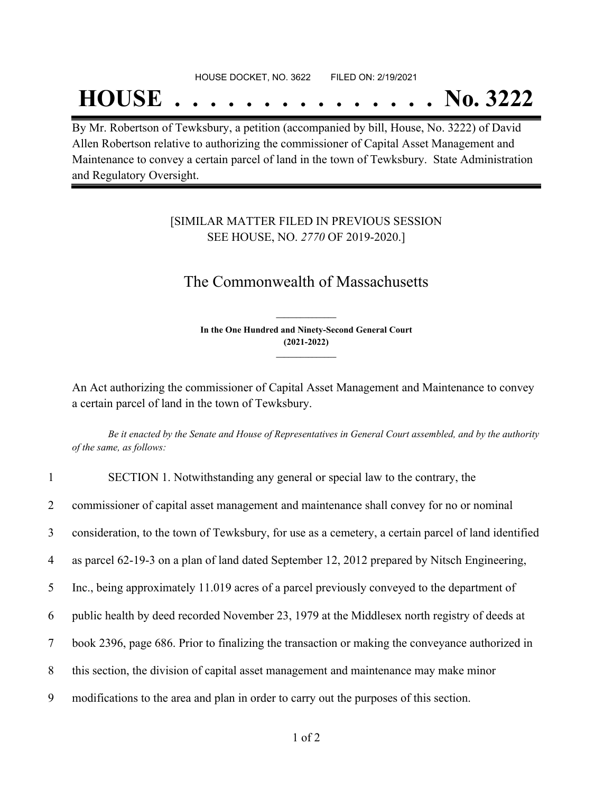## **HOUSE . . . . . . . . . . . . . . . No. 3222**

By Mr. Robertson of Tewksbury, a petition (accompanied by bill, House, No. 3222) of David Allen Robertson relative to authorizing the commissioner of Capital Asset Management and Maintenance to convey a certain parcel of land in the town of Tewksbury. State Administration and Regulatory Oversight.

#### [SIMILAR MATTER FILED IN PREVIOUS SESSION SEE HOUSE, NO. *2770* OF 2019-2020.]

## The Commonwealth of Massachusetts

**In the One Hundred and Ninety-Second General Court (2021-2022) \_\_\_\_\_\_\_\_\_\_\_\_\_\_\_**

**\_\_\_\_\_\_\_\_\_\_\_\_\_\_\_**

An Act authorizing the commissioner of Capital Asset Management and Maintenance to convey a certain parcel of land in the town of Tewksbury.

Be it enacted by the Senate and House of Representatives in General Court assembled, and by the authority *of the same, as follows:*

| $\mathbf{1}$    | SECTION 1. Notwithstanding any general or special law to the contrary, the                          |
|-----------------|-----------------------------------------------------------------------------------------------------|
| $\overline{2}$  | commissioner of capital asset management and maintenance shall convey for no or nominal             |
| $\overline{3}$  | consideration, to the town of Tewksbury, for use as a cemetery, a certain parcel of land identified |
| 4               | as parcel 62-19-3 on a plan of land dated September 12, 2012 prepared by Nitsch Engineering,        |
| 5 <sup>1</sup>  | Inc., being approximately 11.019 acres of a parcel previously conveyed to the department of         |
| 6               | public health by deed recorded November 23, 1979 at the Middlesex north registry of deeds at        |
| $7\overline{ }$ | book 2396, page 686. Prior to finalizing the transaction or making the conveyance authorized in     |
| 8               | this section, the division of capital asset management and maintenance may make minor               |
| 9               | modifications to the area and plan in order to carry out the purposes of this section.              |